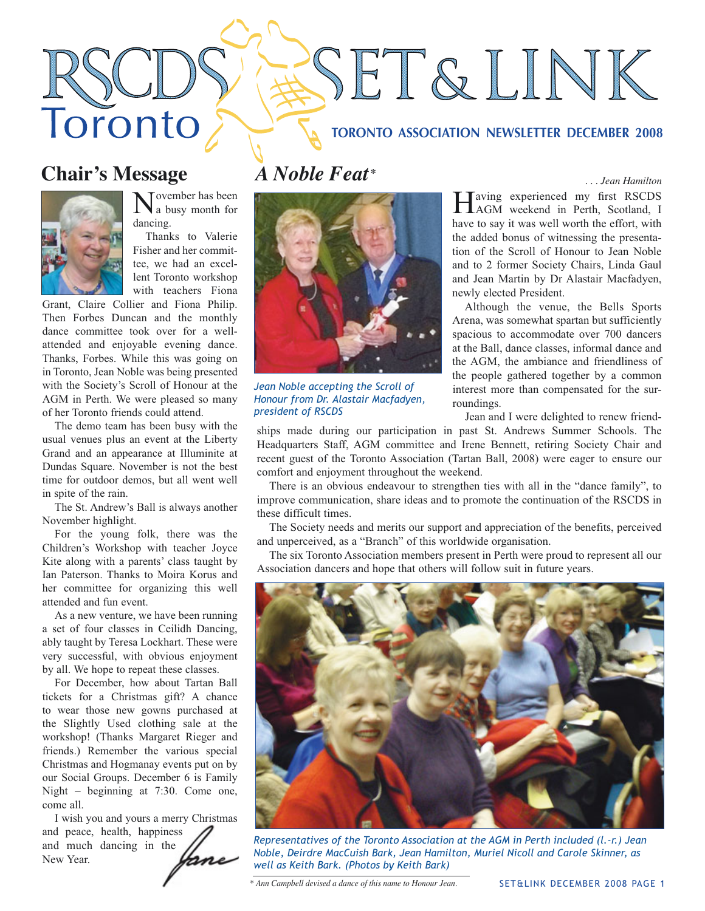# SET&LINK

#### **TORONTO ASSOCIATION NEWSLETTER DECEMBER 2008**

## **Chair's Message**

Toronto



Tovember has been a busy month for dancing.

Thanks to Valerie Fisher and her committee, we had an excellent Toronto workshop with teachers Fiona

Grant, Claire Collier and Fiona Philip. Then Forbes Duncan and the monthly dance committee took over for a wellattended and enjoyable evening dance. Thanks, Forbes. While this was going on in Toronto, Jean Noble was being presented with the Society's Scroll of Honour at the AGM in Perth. We were pleased so many of her Toronto friends could attend.

The demo team has been busy with the usual venues plus an event at the Liberty Grand and an appearance at Illuminite at Dundas Square. November is not the best time for outdoor demos, but all went well in spite of the rain.

The St. Andrew's Ball is always another November highlight.

For the young folk, there was the Children's Workshop with teacher Joyce Kite along with a parents' class taught by Ian Paterson. Thanks to Moira Korus and her committee for organizing this well attended and fun event.

As a new venture, we have been running a set of four classes in Ceilidh Dancing, ably taught by Teresa Lockhart. These were very successful, with obvious enjoyment by all. We hope to repeat these classes.

For December, how about Tartan Ball tickets for a Christmas gift? A chance to wear those new gowns purchased at the Slightly Used clothing sale at the workshop! (Thanks Margaret Rieger and friends.) Remember the various special Christmas and Hogmanay events put on by our Social Groups. December 6 is Family Night – beginning at 7:30. Come one, come all.

I wish you and yours a merry Christmas and peace, health, happiness and much dancing in the New Year.



*Jean Noble accepting the Scroll of Honour from Dr. Alastair Macfadyen, president of RSCDS*

*A Noble Feat . . . Jean Hamilton \**

Having experienced my first RSCDS<br>AGM weekend in Perth, Scotland, I have to say it was well worth the effort, with the added bonus of witnessing the presentation of the Scroll of Honour to Jean Noble and to 2 former Society Chairs, Linda Gaul and Jean Martin by Dr Alastair Macfadyen, newly elected President.

Although the venue, the Bells Sports Arena, was somewhat spartan but sufficiently spacious to accommodate over 700 dancers at the Ball, dance classes, informal dance and the AGM, the ambiance and friendliness of the people gathered together by a common interest more than compensated for the surroundings.

Jean and I were delighted to renew friend-

ships made during our participation in past St. Andrews Summer Schools. The Headquarters Staff, AGM committee and Irene Bennett, retiring Society Chair and recent guest of the Toronto Association (Tartan Ball, 2008) were eager to ensure our comfort and enjoyment throughout the weekend.

There is an obvious endeavour to strengthen ties with all in the "dance family", to improve communication, share ideas and to promote the continuation of the RSCDS in these difficult times.

The Society needs and merits our support and appreciation of the benefits, perceived and unperceived, as a "Branch" of this worldwide organisation.

The six Toronto Association members present in Perth were proud to represent all our Association dancers and hope that others will follow suit in future years.



*Representatives of the Toronto Association at the AGM in Perth included (l.-r.) Jean Noble, Deirdre MacCuish Bark, Jean Hamilton, Muriel Nicoll and Carole Skinner, as well as Keith Bark. (Photos by Keith Bark)* 

*\* Ann Campbell devised a dance of this name to Honour Jean.*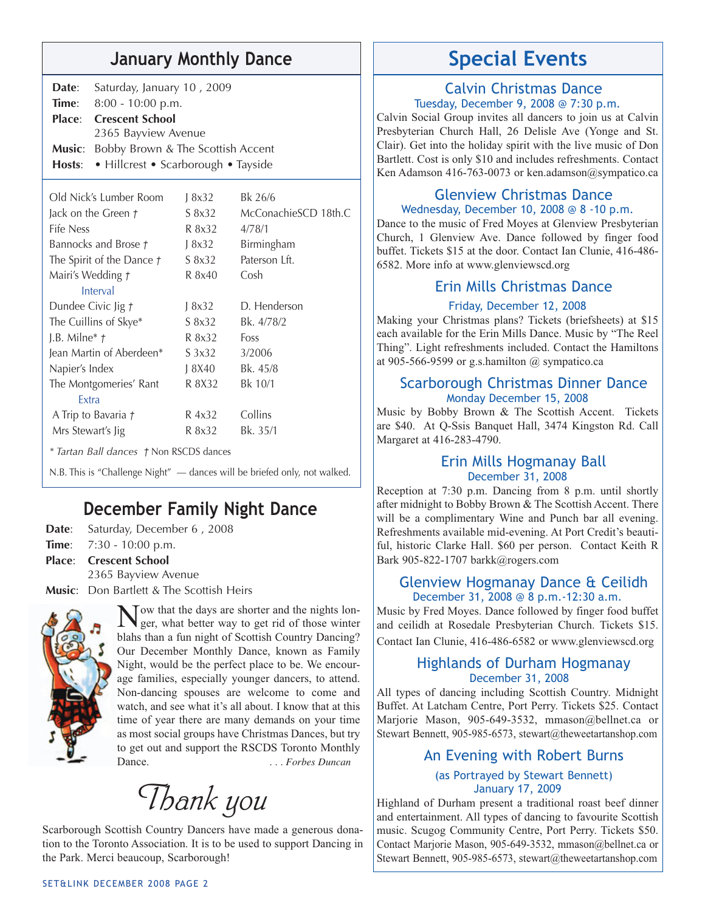## **January Monthly Dance Special Events**

| Date: Saturday, January 10, 2009                |  |
|-------------------------------------------------|--|
| <b>Time:</b> $8:00 - 10:00 \text{ p.m.}$        |  |
| <b>Place:</b> Crescent School                   |  |
| 2365 Bayview Avenue                             |  |
| <b>Music:</b> Bobby Brown & The Scottish Accent |  |
| Hosts: • Hillcrest • Scarborough • Tayside      |  |

| Old Nick's Lumber Room    | 18x32  | Bk 26/6              |
|---------------------------|--------|----------------------|
| Jack on the Green t       | S 8x32 | McConachieSCD 18th.C |
| Fife Ness                 | R 8x32 | 4/78/1               |
| Bannocks and Brose t      | 18x32  | Birmingham           |
| The Spirit of the Dance t | S 8x32 | Paterson Lft.        |
| Mairi's Wedding t         | R 8x40 | Cosh                 |
| Interval                  |        |                      |
| Dundee Civic Jig t        | 18x32  | D. Henderson         |
| The Cuillins of Skye*     | S 8x32 | Bk. 4/78/2           |
| J.B. Milne $*$ $\uparrow$ | R 8x32 | Foss                 |
| Jean Martin of Aberdeen*  | S 3x32 | 3/2006               |
| Napier's Index            | 18X40  | Bk. 45/8             |
| The Montgomeries' Rant    | R 8X32 | Bk 10/1              |
| Extra                     |        |                      |
| A Trip to Bavaria t       | R 4x32 | Collins              |
| Mrs Stewart's Jig         | R 8x32 | Bk. 35/1             |
|                           |        |                      |

*\* Tartan Ball dances †* Non RSCDS dances

N.B. This is "Challenge Night" — dances will be briefed only, not walked.

## **December Family Night Dance**

Date: Saturday, December 6, 2008 **Time**: 7:30 - 10:00 p.m. **Place**: **Crescent School rescent**  2365 Bayview Avenue

**Music**: Don Bartlett & The Scottish Heirs



Now that the days are shorter and the nights lon-ger, what better way to get rid of those winter blahs than a fun night of Scottish Country Dancing? Our December Monthly Dance, known as Family Night, would be the perfect place to be. We encourage families, especially younger dancers, to attend. Non-dancing spouses are welcome to come and watch, and see what it's all about. I know that at this time of year there are many demands on your time as most social groups have Christmas Dances, but try to get out and support the RSCDS Toronto Monthly Dance. *... Forbes Duncan* 

*Thank you*

Scarborough Scottish Country Dancers have made a generous donation to the Toronto Association. It is to be used to support Dancing in the Park. Merci beaucoup, Scarborough!

#### Calvin Christmas Dance Tuesday, December 9, 2008 @ 7:30 p.m.

Calvin Social Group invites all dancers to join us at Calvin Presbyterian Church Hall, 26 Delisle Ave (Yonge and St. Clair). Get into the holiday spirit with the live music of Don Bartlett. Cost is only \$10 and includes refreshments. Contact Ken Adamson 416-763-0073 or ken.adamson@sympatico.ca

#### Glenview Christmas Dance Wednesday, December 10, 2008 @ 8 -10 p.m.

Dance to the music of Fred Moyes at Glenview Presbyterian Church, 1 Glenview Ave. Dance followed by finger food buffet. Tickets \$15 at the door. Contact Ian Clunie, 416-486- 6582. More info at www.glenviewscd.org

#### Erin Mills Christmas Dance

#### Friday, December 12, 2008

Making your Christmas plans? Tickets (briefsheets) at \$15 each available for the Erin Mills Dance. Music by "The Reel Thing". Light refreshments included. Contact the Hamiltons at 905-566-9599 or g.s.hamilton  $\omega$  sympatico.ca

#### Scarborough Christmas Dinner Dance Monday December 15, 2008

Music by Bobby Brown & The Scottish Accent. Tickets are \$40. At Q-Ssis Banquet Hall, 3474 Kingston Rd. Call Margaret at 416-283-4790.

#### Erin Mills Hogmanay Ball December 31, 2008

Reception at 7:30 p.m. Dancing from 8 p.m. until shortly after midnight to Bobby Brown & The Scottish Accent. There will be a complimentary Wine and Punch bar all evening. Refreshments available mid-evening. At Port Credit's beautiful, historic Clarke Hall. \$60 per person. Contact Keith R Bark 905-822-1707 barkk@rogers.com

#### Glenview Hogmanay Dance & Ceilidh December 31, 2008 @ 8 p.m.-12:30 a.m.

Music by Fred Moyes. Dance followed by finger food buffet and ceilidh at Rosedale Presbyterian Church. Tickets \$15. Contact Ian Clunie, 416-486-6582 or www.glenviewscd.org

#### Highlands of Durham Hogmanay December 31, 2008

All types of dancing including Scottish Country. Midnight Buffet. At Latcham Centre, Port Perry. Tickets \$25. Contact Marjorie Mason, 905-649-3532, mmason@bellnet.ca or Stewart Bennett, 905-985-6573, stewart@theweetartanshop.com

#### An Evening with Robert Burns

#### (as Portrayed by Stewart Bennett) January 17, 2009

Highland of Durham present a traditional roast beef dinner and entertainment. All types of dancing to favourite Scottish music. Scugog Community Centre, Port Perry. Tickets \$50. Contact Marjorie Mason, 905-649-3532, mmason@bellnet.ca or Stewart Bennett, 905-985-6573, stewart@theweetartanshop.com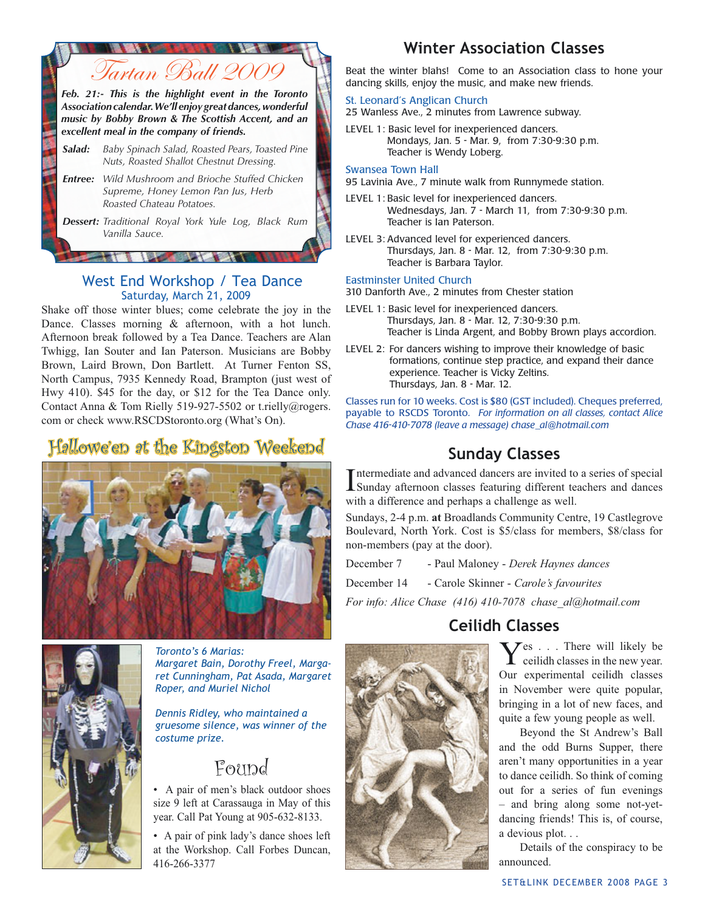

#### West End Workshop / Tea Dance Saturday, March 21, 2009

Shake off those winter blues; come celebrate the joy in the Dance. Classes morning & afternoon, with a hot lunch. Afternoon break followed by a Tea Dance. Teachers are Alan Twhigg, Ian Souter and Ian Paterson. Musicians are Bobby Brown, Laird Brown, Don Bartlett. At Turner Fenton SS, North Campus, 7935 Kennedy Road, Brampton (just west of Hwy 410). \$45 for the day, or \$12 for the Tea Dance only. Contact Anna & Tom Rielly 519-927-5502 or t.rielly@rogers. com or check www.RSCDStoronto.org (What's On).

## Hallowe'en at the Kingston Weekend





*Toronto's 6 Marias: Margaret Bain, Dorothy Freel, Margaret Cunningham, Pat Asada, Margaret Roper, and Muriel Nichol*

*Dennis Ridley, who maintained a gruesome silence, was winner of the costume prize.*

## Found

• A pair of men's black outdoor shoes size 9 left at Carassauga in May of this year. Call Pat Young at 905-632-8133.

• A pair of pink lady's dance shoes left at the Workshop. Call Forbes Duncan, 416-266-3377

## **Winter Association Classes**

Beat the winter blahs! Come to an Association class to hone your dancing skills, enjoy the music, and make new friends.

#### St. Leonard's Anglican Church

25 Wanless Ave., 2 minutes from Lawrence subway.

LEVEL 1: Basic level for inexperienced dancers. Mondays, Jan. 5 - Mar. 9, from 7:30-9:30 p.m. Teacher is Wendy Loberg.

#### Swansea Town Hall

95 Lavinia Ave., 7 minute walk from Runnymede station.

- LEVEL 1: Basic level for inexperienced dancers. Wednesdays, Jan.  $\overline{7}$  - March 11, from 7:30-9:30 p.m. Teacher is Ian Paterson.
- LEVEL 3: Advanced level for experienced dancers. Thursdays, Jan. 8 - Mar. 12, from 7:30-9:30 p.m. Teacher is Barbara Taylor.

#### Eastminster United Church

310 Danforth Ave., 2 minutes from Chester station

- LEVEL 1: Basic level for inexperienced dancers. Thursdays, Jan. 8 - Mar. 12, 7:30-9:30 p.m. Teacher is Linda Argent, and Bobby Brown plays accordion.
- LEVEL 2: For dancers wishing to improve their knowledge of basic formations, continue step practice, and expand their dance experience. Teacher is Vicky Zeltins. Thursdays, Jan. 8 - Mar. 12.

Classes run for 10 weeks. Cost is \$80 (GST included). Cheques preferred, payable to RSCDS Toronto. *For information on all classes, contact Alice Chase 416-410-7078 (leave a message) chase\_al@hotmail.com* 

## **Sunday Classes**

Intermediate and advanced dancers are invited to a series of special<br>Sunday afternoon classes featuring different teachers and dances ntermediate and advanced dancers are invited to a series of special with a difference and perhaps a challenge as well.

Sundays, 2-4 p.m. **at** Broadlands Community Centre, 19 Castlegrove Boulevard, North York. Cost is \$5/class for members, \$8/class for non-members (pay at the door).

December 7 - Paul Maloney - *Derek Haynes dances*

December 14 - Carole Skinner - *Carole's favourites*

*For info: Alice Chase (416) 410-7078 chase\_al@hotmail.com*

## **Ceilidh Classes**

Yes . . . There will likely be ceilidh classes in the new year. Our experimental ceilidh classes in November were quite popular, bringing in a lot of new faces, and quite a few young people as well.

Beyond the St Andrew's Ball and the odd Burns Supper, there aren't many opportunities in a year to dance ceilidh. So think of coming out for a series of fun evenings – and bring along some not-yetdancing friends! This is, of course, a devious plot. . .

Details of the conspiracy to be announced.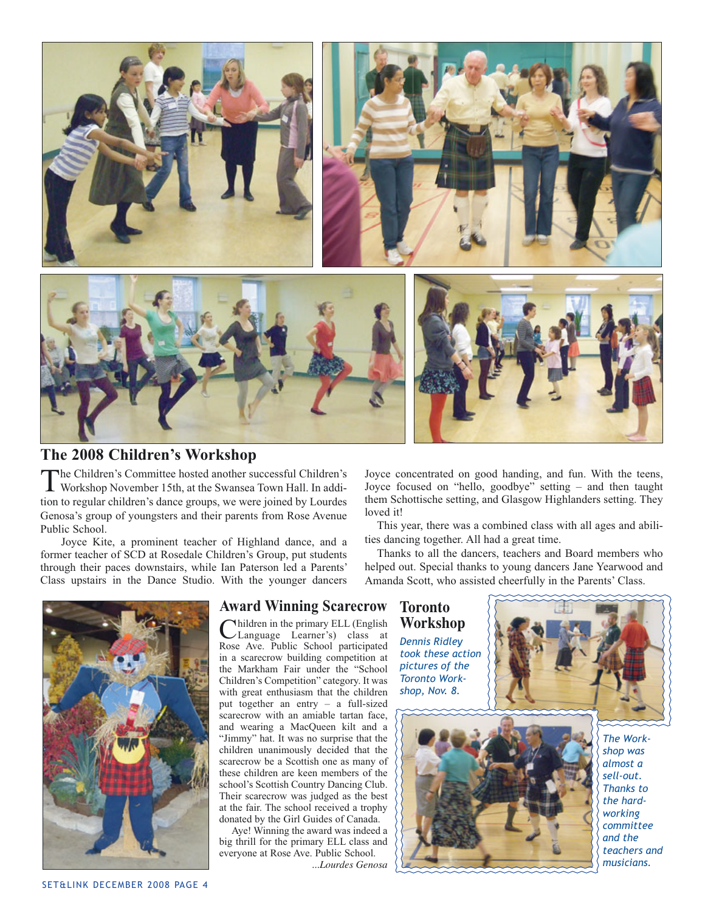

#### **The 2008 Children's Workshop**

The Children's Committee hosted another successful Children's Workshop November 15th, at the Swansea Town Hall. In addition to regular children's dance groups, we were joined by Lourdes Genosa's group of youngsters and their parents from Rose Avenue Public School.

Joyce Kite, a prominent teacher of Highland dance, and a former teacher of SCD at Rosedale Children's Group, put students through their paces downstairs, while Ian Paterson led a Parents' Class upstairs in the Dance Studio. With the younger dancers



#### **Award Winning Scarecrow**

Mhildren in the primary ELL (English Language Learner's) class at Rose Ave. Public School participated in a scarecrow building competition at the Markham Fair under the "School Children's Competition" category. It was with great enthusiasm that the children put together an entry – a full-sized scarecrow with an amiable tartan face, and wearing a MacQueen kilt and a "Jimmy" hat. It was no surprise that the children unanimously decided that the scarecrow be a Scottish one as many of these children are keen members of the school's Scottish Country Dancing Club. Their scarecrow was judged as the best at the fair. The school received a trophy donated by the Girl Guides of Canada.

Aye! Winning the award was indeed a big thrill for the primary ELL class and everyone at Rose Ave. Public School. *...Lourdes Genosa*

Joyce concentrated on good handing, and fun. With the teens, Joyce focused on "hello, goodbye" setting – and then taught them Schottische setting, and Glasgow Highlanders setting. They loved it!

This year, there was a combined class with all ages and abilities dancing together. All had a great time.

Thanks to all the dancers, teachers and Board members who helped out. Special thanks to young dancers Jane Yearwood and Amanda Scott, who assisted cheerfully in the Parents' Class.

> **Toronto Workshop** *Dennis Ridley took these action pictures of the Toronto Workshop, Nov. 8.*





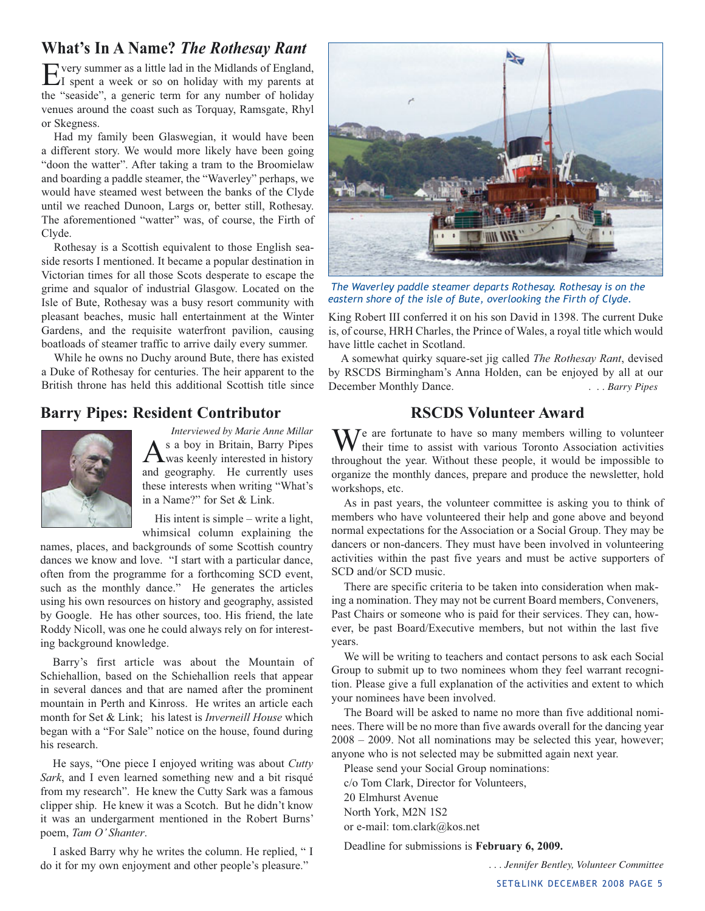#### **What's In A Name?** *The Rothesay Rant*

Every summer as a little lad in the Midlands of England,<br>I spent a week or so on holiday with my parents at the "seaside", a generic term for any number of holiday venues around the coast such as Torquay, Ramsgate, Rhyl or Skegness.

Had my family been Glaswegian, it would have been a different story. We would more likely have been going "doon the watter". After taking a tram to the Broomielaw and boarding a paddle steamer, the "Waverley" perhaps, we would have steamed west between the banks of the Clyde until we reached Dunoon, Largs or, better still, Rothesay. The aforementioned "watter" was, of course, the Firth of Clyde.

Rothesay is a Scottish equivalent to those English seaside resorts I mentioned. It became a popular destination in Victorian times for all those Scots desperate to escape the grime and squalor of industrial Glasgow. Located on the Isle of Bute, Rothesay was a busy resort community with pleasant beaches, music hall entertainment at the Winter Gardens, and the requisite waterfront pavilion, causing boatloads of steamer traffic to arrive daily every summer.

While he owns no Duchy around Bute, there has existed a Duke of Rothesay for centuries. The heir apparent to the British throne has held this additional Scottish title since

#### **Barry Pipes: Resident Contributor**



*Interviewed by Marie Anne Millar* As a boy in Britain, Barry Pipes was keenly interested in history and geography. He currently uses these interests when writing "What's in a Name?" for Set & Link.

His intent is simple – write a light, whimsical column explaining the

names, places, and backgrounds of some Scottish country dances we know and love. "I start with a particular dance, often from the programme for a forthcoming SCD event, such as the monthly dance." He generates the articles using his own resources on history and geography, assisted by Google. He has other sources, too. His friend, the late Roddy Nicoll, was one he could always rely on for interesting background knowledge.

Barry's first article was about the Mountain of Schiehallion, based on the Schiehallion reels that appear in several dances and that are named after the prominent mountain in Perth and Kinross. He writes an article each month for Set & Link; his latest is *Inverneill House* which began with a "For Sale" notice on the house, found during his research.

He says, "One piece I enjoyed writing was about *Cutty Sark*, and I even learned something new and a bit risqué from my research". He knew the Cutty Sark was a famous clipper ship. He knew it was a Scotch. But he didn't know it was an undergarment mentioned in the Robert Burns' poem, *Tam O' Shanter*.

I asked Barry why he writes the column. He replied, " I do it for my own enjoyment and other people's pleasure."



 *The Waverley paddle steamer departs Rothesay. Rothesay is on the eastern shore of the isle of Bute, overlooking the Firth of Clyde.* 

King Robert III conferred it on his son David in 1398. The current Duke is, of course, HRH Charles, the Prince of Wales, a royal title which would have little cachet in Scotland.

A somewhat quirky square-set jig called *The Rothesay Rant*, devised by RSCDS Birmingham's Anna Holden, can be enjoyed by all at our December Monthly Dance. *. . . Barry Pipes* 

#### **RSCDS Volunteer Award**

 $\sum_{n=1}^{\infty} I_n$  are fortunate to have so many members willing to volunteer their time to assist with various Toronto Association activities throughout the year. Without these people, it would be impossible to organize the monthly dances, prepare and produce the newsletter, hold workshops, etc.

As in past years, the volunteer committee is asking you to think of members who have volunteered their help and gone above and beyond normal expectations for the Association or a Social Group. They may be dancers or non-dancers. They must have been involved in volunteering activities within the past five years and must be active supporters of SCD and/or SCD music.

There are specific criteria to be taken into consideration when making a nomination. They may not be current Board members, Conveners, Past Chairs or someone who is paid for their services. They can, however, be past Board/Executive members, but not within the last five years.

We will be writing to teachers and contact persons to ask each Social Group to submit up to two nominees whom they feel warrant recognition. Please give a full explanation of the activities and extent to which your nominees have been involved.

The Board will be asked to name no more than five additional nominees. There will be no more than five awards overall for the dancing year 2008 – 2009. Not all nominations may be selected this year, however; anyone who is not selected may be submitted again next year.

Please send your Social Group nominations:

c/o Tom Clark, Director for Volunteers,

20 Elmhurst Avenue

North York, M2N 1S2 or e-mail: tom.clark@kos.net

Deadline for submissions is **February 6, 2009.** 

*. . . Jennifer Bentley, Volunteer Committee*